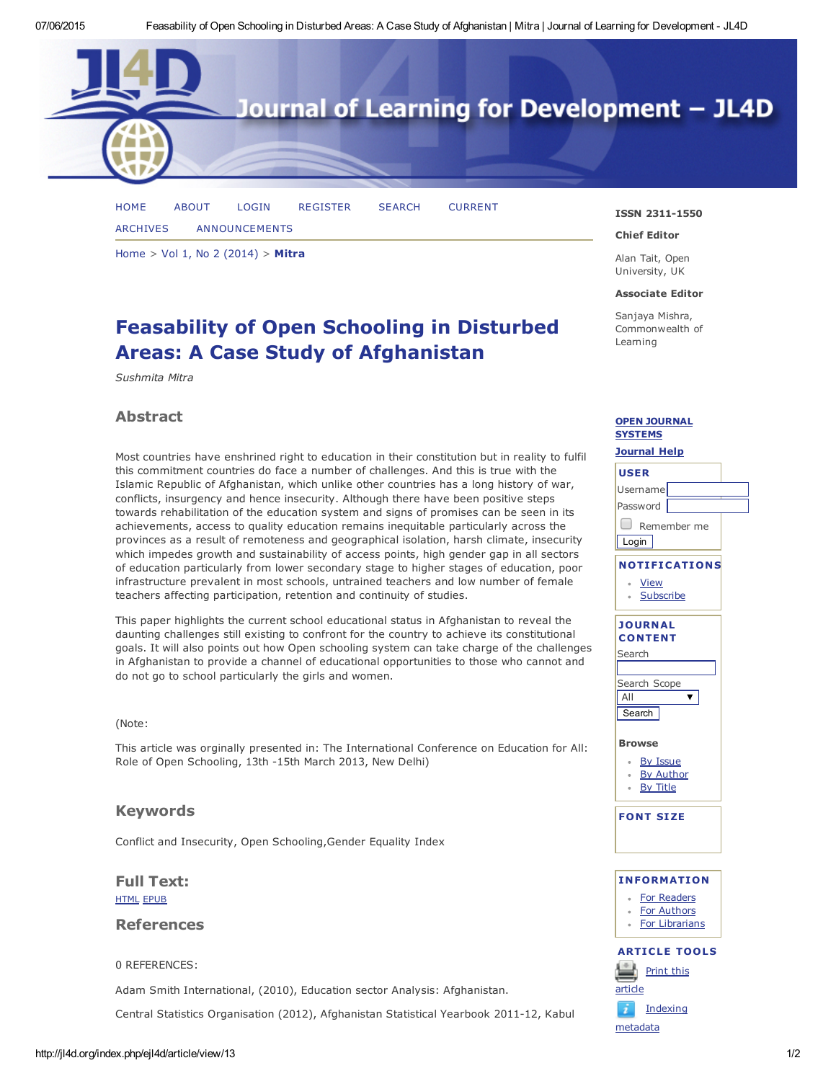

[HOME](http://jl4d.org/index.php/ejl4d/index) [ABOUT](http://jl4d.org/index.php/ejl4d/about) [LOGIN](http://jl4d.org/index.php/ejl4d/login) [REGISTER](http://jl4d.org/index.php/ejl4d/user/register) [SEARCH](http://jl4d.org/index.php/ejl4d/search) [CURRENT](http://jl4d.org/index.php/ejl4d/issue/current) [ARCHIVES](http://jl4d.org/index.php/ejl4d/issue/archive) [ANNOUNCEMENTS](http://jl4d.org/index.php/ejl4d/announcement)

[Home](http://jl4d.org/index.php/ejl4d/index) > Vol 1, No 2 [\(2014\)](http://jl4d.org/index.php/ejl4d/issue/view/2) > [Mitra](http://jl4d.org/index.php/ejl4d/article/view/13/0)

# Feasability of Open Schooling in Disturbed Areas: A Case Study of Afghanistan

*Sushmita Mitra*

## Abstract

Most countries have enshrined right to education in their constitution but in reality to fulfil this commitment countries do face a number of challenges. And this is true with the Islamic Republic of Afghanistan, which unlike other countries has a long history of war, conflicts, insurgency and hence insecurity. Although there have been positive steps towards rehabilitation of the education system and signs of promises can be seen in its achievements, access to quality education remains inequitable particularly across the provinces as a result of remoteness and geographical isolation, harsh climate, insecurity which impedes growth and sustainability of access points, high gender gap in all sectors of education particularly from lower secondary stage to higher stages of education, poor infrastructure prevalent in most schools, untrained teachers and low number of female teachers affecting participation, retention and continuity of studies.

This paper highlights the current school educational status in Afghanistan to reveal the daunting challenges still existing to confront for the country to achieve its constitutional goals. It will also points out how Open schooling system can take charge of the challenges in Afghanistan to provide a channel of educational opportunities to those who cannot and do not go to school particularly the girls and women.

#### (Note:

This article was orginally presented in: The International Conference on Education for All: Role of Open Schooling, 13th -15th March 2013, New Delhi)

## Keywords

Conflict and Insecurity, Open [Schooling,Gender](javascript:void(0);) Equality Index

### Full Text: [HTML](http://jl4d.org/index.php/ejl4d/article/view/13/37) [EPUB](http://jl4d.org/index.php/ejl4d/article/view/13/36)

## References

0 REFERENCES:

Adam Smith International, (2010), Education sector Analysis: Afghanistan.

Central Statistics Organisation (2012), Afghanistan Statistical Yearbook 2011-12, Kabul

#### ISSN 2311-1550

#### Chief Editor

Alan Tait, Open University, UK

#### Associate Editor

Sanjaya Mishra, Commonwealth of Learning

#### **OPEN [JOURNAL](http://pkp.sfu.ca/ojs/)** SYSTEMS

## [Journal](javascript:openHelp() Help USER Username Password **D** Remember me **Login** NOTIFICATIONS [View](http://jl4d.org/index.php/ejl4d/notification) **[Subscribe](http://jl4d.org/index.php/ejl4d/notification/subscribeMailList)** JOURNAL **CONTENT** Search Search Scope  $\overline{\textbf{v}}$ All **Search** Browse By [Issue](http://jl4d.org/index.php/ejl4d/issue/archive) By [Author](http://jl4d.org/index.php/ejl4d/search/authors) By [Title](http://jl4d.org/index.php/ejl4d/search/titles)  $\alpha$ FONT SIZE INFORMATION For [Readers](http://jl4d.org/index.php/ejl4d/information/readers) For [Authors](http://jl4d.org/index.php/ejl4d/information/authors) For [Librarians](http://jl4d.org/index.php/ejl4d/information/librarians)